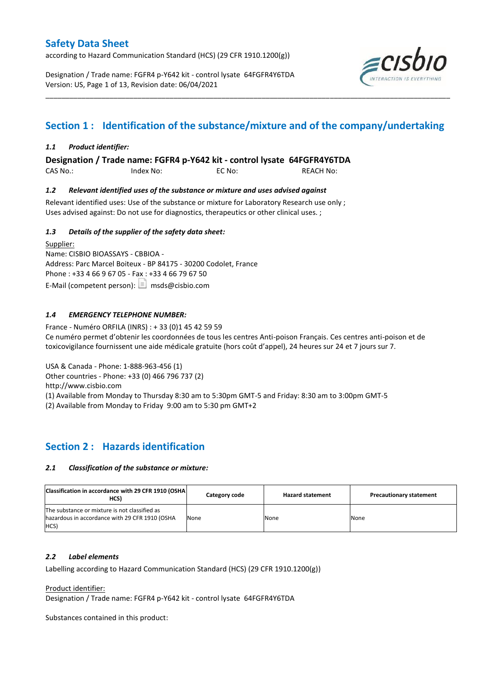according to Hazard Communication Standard (HCS) (29 CFR 1910.1200(g))

Designation / Trade name: FGFR4 p-Y642 kit - control lysate 64FGFR4Y6TDA Version: US, Page 1 of 13, Revision date: 06/04/2021



## **Section 1 : Identification of the substance/mixture and of the company/undertaking**

\_\_\_\_\_\_\_\_\_\_\_\_\_\_\_\_\_\_\_\_\_\_\_\_\_\_\_\_\_\_\_\_\_\_\_\_\_\_\_\_\_\_\_\_\_\_\_\_\_\_\_\_\_\_\_\_\_\_\_\_\_\_\_\_\_\_\_\_\_\_\_\_\_\_\_\_\_\_\_\_\_\_\_\_\_\_\_\_\_\_\_\_\_\_\_\_\_\_\_\_\_

### *1.1 Product identifier:*

**Designation / Trade name: FGFR4 p-Y642 kit - control lysate 64FGFR4Y6TDA** 

CAS No.: Index No: EC No: REACH No:

### *1.2 Relevant identified uses of the substance or mixture and uses advised against*

Relevant identified uses: Use of the substance or mixture for Laboratory Research use only ; Uses advised against: Do not use for diagnostics, therapeutics or other clinical uses. ;

### *1.3 Details of the supplier of the safety data sheet:*

Supplier: Name: CISBIO BIOASSAYS - CBBIOA - Address: Parc Marcel Boiteux - BP 84175 - 30200 Codolet, France Phone : +33 4 66 9 67 05 - Fax : +33 4 66 79 67 50 E-Mail (competent person):  $\boxed{\equiv}$  msds@cisbio.com

### *1.4 EMERGENCY TELEPHONE NUMBER:*

France - Numéro ORFILA (INRS) : + 33 (0)1 45 42 59 59 Ce numéro permet d'obtenir les coordonnées de tous les centres Anti-poison Français. Ces centres anti-poison et de toxicovigilance fournissent une aide médicale gratuite (hors coût d'appel), 24 heures sur 24 et 7 jours sur 7.

USA & Canada - Phone: 1-888-963-456 (1)

Other countries - Phone: +33 (0) 466 796 737 (2)

http://www.cisbio.com

(1) Available from Monday to Thursday 8:30 am to 5:30pm GMT-5 and Friday: 8:30 am to 3:00pm GMT-5

(2) Available from Monday to Friday 9:00 am to 5:30 pm GMT+2

### **Section 2 : Hazards identification**

#### *2.1 Classification of the substance or mixture:*

| Classification in accordance with 29 CFR 1910 (OSHA)<br>HCS)                                                  | Category code | <b>Hazard statement</b> | <b>Precautionary statement</b> |
|---------------------------------------------------------------------------------------------------------------|---------------|-------------------------|--------------------------------|
| The substance or mixture is not classified as<br>hazardous in accordance with 29 CFR 1910 (OSHA<br><b>HCS</b> | None          | None                    | None                           |

#### *2.2 Label elements*

Labelling according to Hazard Communication Standard (HCS) (29 CFR 1910.1200(g))

Product identifier:

Designation / Trade name: FGFR4 p-Y642 kit - control lysate 64FGFR4Y6TDA

Substances contained in this product: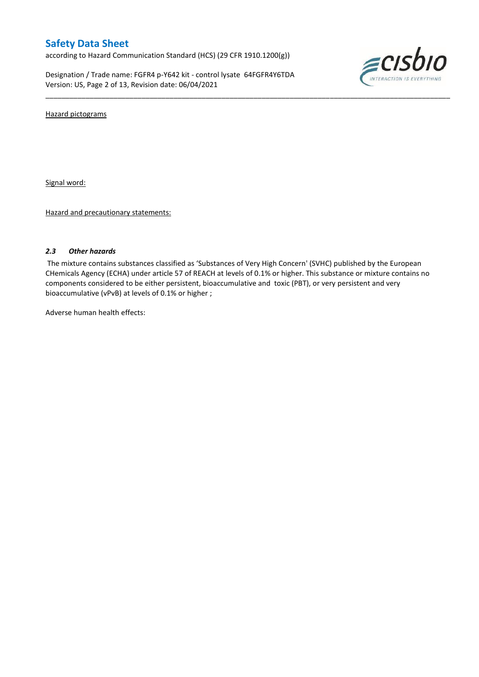according to Hazard Communication Standard (HCS) (29 CFR 1910.1200(g))

Designation / Trade name: FGFR4 p-Y642 kit - control lysate 64FGFR4Y6TDA Version: US, Page 2 of 13, Revision date: 06/04/2021



Hazard pictograms

Signal word:

Hazard and precautionary statements:

#### *2.3 Other hazards*

The mixture contains substances classified as 'Substances of Very High Concern' (SVHC) published by the European CHemicals Agency (ECHA) under article 57 of REACH at levels of 0.1% or higher. This substance or mixture contains no components considered to be either persistent, bioaccumulative and toxic (PBT), or very persistent and very bioaccumulative (vPvB) at levels of 0.1% or higher ;

\_\_\_\_\_\_\_\_\_\_\_\_\_\_\_\_\_\_\_\_\_\_\_\_\_\_\_\_\_\_\_\_\_\_\_\_\_\_\_\_\_\_\_\_\_\_\_\_\_\_\_\_\_\_\_\_\_\_\_\_\_\_\_\_\_\_\_\_\_\_\_\_\_\_\_\_\_\_\_\_\_\_\_\_\_\_\_\_\_\_\_\_\_\_\_\_\_\_\_\_\_

Adverse human health effects: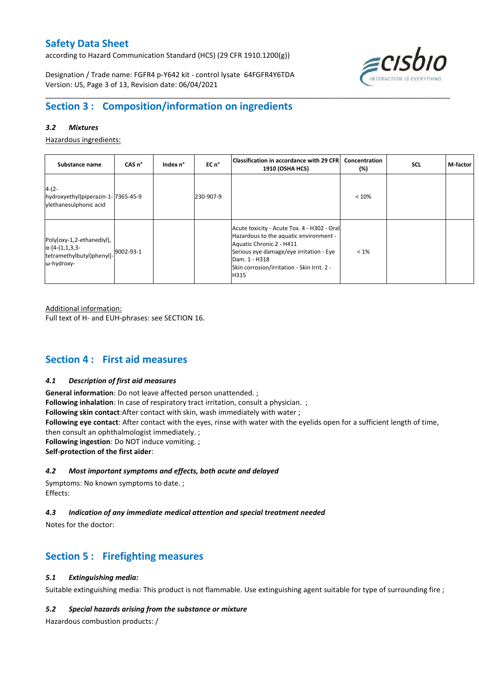according to Hazard Communication Standard (HCS) (29 CFR 1910.1200(g))

Designation / Trade name: FGFR4 p-Y642 kit - control lysate 64FGFR4Y6TDA Version: US, Page 3 of 13, Revision date: 06/04/2021



## **Section 3 : Composition/information on ingredients**

### *3.2 Mixtures*

Hazardous ingredients:

| Substance name                                                                                 | CAS <sub>n</sub> ° | Index n° | EC n°     | Classification in accordance with 29 CFR <br><b>1910 (OSHA HCS)</b>                                                                                                                                                                  | Concentration<br>(%) | <b>SCL</b> | M-factor |
|------------------------------------------------------------------------------------------------|--------------------|----------|-----------|--------------------------------------------------------------------------------------------------------------------------------------------------------------------------------------------------------------------------------------|----------------------|------------|----------|
| $4-(2-$<br>hydroxyethyl)piperazin-1-7365-45-9<br>vlethanesulphonic acid                        |                    |          | 230-907-9 |                                                                                                                                                                                                                                      | < 10%                |            |          |
| Poly(oxy-1,2-ethanediyl),<br>$\alpha$ -[4-(1,1,3,3-<br>tetramethylbutyl)phenyl]-<br>ω-hydroxy- | 9002-93-1          |          |           | Acute toxicity - Acute Tox. 4 - H302 - Oral<br>Hazardous to the aquatic environment -<br>Aquatic Chronic 2 - H411<br>Serious eye damage/eye irritation - Eye<br>Dam. 1 - H318<br>Skin corrosion/irritation - Skin Irrit. 2 -<br>H315 | $< 1\%$              |            |          |

\_\_\_\_\_\_\_\_\_\_\_\_\_\_\_\_\_\_\_\_\_\_\_\_\_\_\_\_\_\_\_\_\_\_\_\_\_\_\_\_\_\_\_\_\_\_\_\_\_\_\_\_\_\_\_\_\_\_\_\_\_\_\_\_\_\_\_\_\_\_\_\_\_\_\_\_\_\_\_\_\_\_\_\_\_\_\_\_\_\_\_\_\_\_\_\_\_\_\_\_\_

Additional information:

Full text of H- and EUH-phrases: see SECTION 16.

## **Section 4 : First aid measures**

#### *4.1 Description of first aid measures*

**General information**: Do not leave affected person unattended. ; **Following inhalation**: In case of respiratory tract irritation, consult a physician. ; **Following skin contact**:After contact with skin, wash immediately with water ; **Following eye contact**: After contact with the eyes, rinse with water with the eyelids open for a sufficient length of time, then consult an ophthalmologist immediately. ; **Following ingestion**: Do NOT induce vomiting. ; **Self-protection of the first aider**:

#### *4.2 Most important symptoms and effects, both acute and delayed*

Symptoms: No known symptoms to date. ; Effects:

### *4.3 Indication of any immediate medical attention and special treatment needed*

Notes for the doctor:

## **Section 5 : Firefighting measures**

### *5.1 Extinguishing media:*

Suitable extinguishing media: This product is not flammable. Use extinguishing agent suitable for type of surrounding fire ;

#### *5.2 Special hazards arising from the substance or mixture*

Hazardous combustion products: /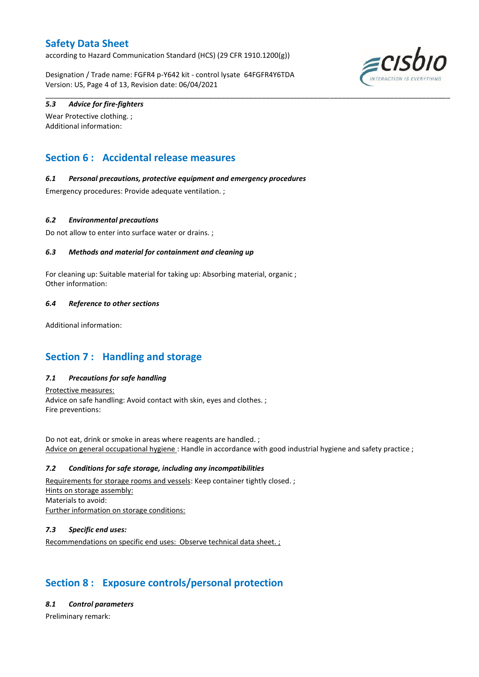according to Hazard Communication Standard (HCS) (29 CFR 1910.1200(g))

Designation / Trade name: FGFR4 p-Y642 kit - control lysate 64FGFR4Y6TDA Version: US, Page 4 of 13, Revision date: 06/04/2021

\_\_\_\_\_\_\_\_\_\_\_\_\_\_\_\_\_\_\_\_\_\_\_\_\_\_\_\_\_\_\_\_\_\_\_\_\_\_\_\_\_\_\_\_\_\_\_\_\_\_\_\_\_\_\_\_\_\_\_\_\_\_\_\_\_\_\_\_\_\_\_\_\_\_\_\_\_\_\_\_\_\_\_\_\_\_\_\_\_\_\_\_\_\_\_\_\_\_\_\_\_



### *5.3 Advice for fire-fighters*

Wear Protective clothing. ; Additional information:

## **Section 6 : Accidental release measures**

### *6.1 Personal precautions, protective equipment and emergency procedures*

Emergency procedures: Provide adequate ventilation. ;

#### *6.2 Environmental precautions*

Do not allow to enter into surface water or drains. ;

### *6.3 Methods and material for containment and cleaning up*

For cleaning up: Suitable material for taking up: Absorbing material, organic ; Other information:

### *6.4 Reference to other sections*

Additional information:

## **Section 7 : Handling and storage**

### *7.1 Precautions for safe handling*

Protective measures: Advice on safe handling: Avoid contact with skin, eyes and clothes. ; Fire preventions:

Do not eat, drink or smoke in areas where reagents are handled. ; Advice on general occupational hygiene : Handle in accordance with good industrial hygiene and safety practice ;

#### *7.2 Conditions for safe storage, including any incompatibilities*

Requirements for storage rooms and vessels: Keep container tightly closed. ; Hints on storage assembly: Materials to avoid: Further information on storage conditions:

### *7.3 Specific end uses:*

Recommendations on specific end uses: Observe technical data sheet. ;

## **Section 8 : Exposure controls/personal protection**

#### *8.1 Control parameters*

Preliminary remark: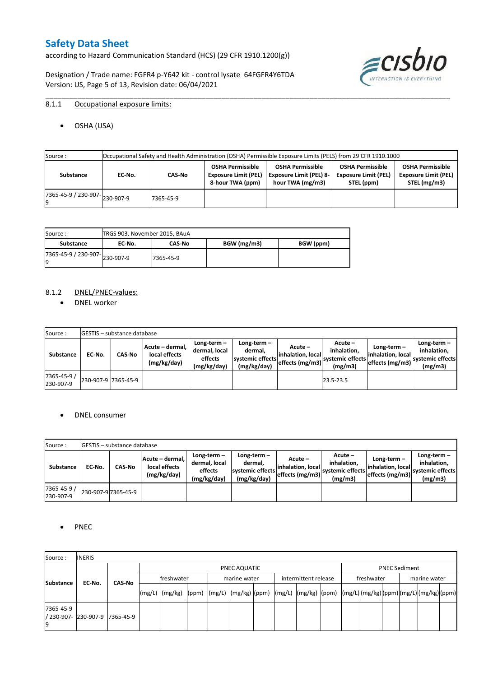according to Hazard Communication Standard (HCS) (29 CFR 1910.1200(g))

Designation / Trade name: FGFR4 p-Y642 kit - control lysate 64FGFR4Y6TDA Version: US, Page 5 of 13, Revision date: 06/04/2021



### 8.1.1 Occupational exposure limits:

OSHA (USA)

| Source :                             |        |           |                                                                            | Occupational Safety and Health Administration (OSHA) Permissible Exposure Limits (PELS) from 29 CFR 1910.1000 |                                                                      |                                                                        |
|--------------------------------------|--------|-----------|----------------------------------------------------------------------------|---------------------------------------------------------------------------------------------------------------|----------------------------------------------------------------------|------------------------------------------------------------------------|
| Substance                            | EC No. | CAS-No    | <b>OSHA Permissible</b><br><b>Exposure Limit (PEL)</b><br>8-hour TWA (ppm) | <b>OSHA Permissible</b><br><b>Exposure Limit (PEL) 8-</b><br>hour TWA (mg/m3)                                 | <b>OSHA Permissible</b><br><b>Exposure Limit (PEL)</b><br>STEL (ppm) | <b>OSHA Permissible</b><br><b>Exposure Limit (PEL)</b><br>STEL (mg/m3) |
| $(7365-45-9) / 230-907$ $ 230-907-9$ |        | 7365-45-9 |                                                                            |                                                                                                               |                                                                      |                                                                        |

\_\_\_\_\_\_\_\_\_\_\_\_\_\_\_\_\_\_\_\_\_\_\_\_\_\_\_\_\_\_\_\_\_\_\_\_\_\_\_\_\_\_\_\_\_\_\_\_\_\_\_\_\_\_\_\_\_\_\_\_\_\_\_\_\_\_\_\_\_\_\_\_\_\_\_\_\_\_\_\_\_\_\_\_\_\_\_\_\_\_\_\_\_\_\_\_\_\_\_\_\_

| Source :                       | TRGS 903, November 2015, BAuA |               |             |           |
|--------------------------------|-------------------------------|---------------|-------------|-----------|
| Substance                      | EC No.                        | <b>CAS-No</b> | BGW (mg/m3) | BGW (ppm) |
| ./365-45-9 / 230-907-230-907-9 |                               | 7365-45-9     |             |           |

#### 8.1.2 DNEL/PNEC-values:

• DNEL worker

| Source:                  |                     | <b>IGESTIS – substance database</b> |                                                 |                                                          |                                                             |                                                  |                                                       |                                                          |                                                             |
|--------------------------|---------------------|-------------------------------------|-------------------------------------------------|----------------------------------------------------------|-------------------------------------------------------------|--------------------------------------------------|-------------------------------------------------------|----------------------------------------------------------|-------------------------------------------------------------|
| Substance                | EC-No.              | <b>CAS-No</b>                       | Acute – dermal,<br>local effects<br>(mg/kg/day) | Long-term $-$<br>dermal, local<br>effects<br>(mg/kg/day) | Long-term $-$<br>dermal,<br>systemic effects<br>(mg/kg/day) | Acute –<br>linhalation. local<br>effects (mg/m3) | Acute -<br>inhalation.<br>systemic effects<br>(mg/m3) | Long-term $-$<br>linhalation. local<br>effects (mg/m3) ` | $Long-term -$<br>inhalation.<br>systemic effects<br>(mg/m3) |
| 7365-45-9 /<br>230-907-9 | 230-907-9 7365-45-9 |                                     |                                                 |                                                          |                                                             |                                                  | 23.5-23.5                                             |                                                          |                                                             |

#### DNEL consumer

| Source:                  |        | <b>IGESTIS – substance database</b> |                                                 |                                                          |                                                             |                                                        |                                                       |                                                        |                                                             |
|--------------------------|--------|-------------------------------------|-------------------------------------------------|----------------------------------------------------------|-------------------------------------------------------------|--------------------------------------------------------|-------------------------------------------------------|--------------------------------------------------------|-------------------------------------------------------------|
| Substance                | EC No. | CAS-No                              | Acute - dermal,<br>local effects<br>(mg/kg/day) | Long-term $-$<br>dermal, local<br>effects<br>(mg/kg/day) | $Long-term -$<br>dermal.<br>systemic effects<br>(mg/kg/day) | Acute –<br>linhalation. local<br>$effects$ (mg/m3) $ $ | Acute -<br>inhalation.<br>systemic effects<br>(mg/m3) | $Long-term -$<br>linhalation. local<br>effects (mg/m3) | Long-term $-$<br>inhalation.<br>systemic effects<br>(mg/m3) |
| 7365-45-9 /<br>230-907-9 |        | 230-907-9 7365-45-9                 |                                                 |                                                          |                                                             |                                                        |                                                       |                                                        |                                                             |

#### • PNEC

| Source:                                 | <b>INERIS</b> |               |                                                                                                                                                                                                                                                                                                                                                                                                                                                                                               |  |                                      |  |  |            |                      |  |              |  |  |  |  |  |
|-----------------------------------------|---------------|---------------|-----------------------------------------------------------------------------------------------------------------------------------------------------------------------------------------------------------------------------------------------------------------------------------------------------------------------------------------------------------------------------------------------------------------------------------------------------------------------------------------------|--|--------------------------------------|--|--|------------|----------------------|--|--------------|--|--|--|--|--|
|                                         |               |               | PNEC AQUATIC                                                                                                                                                                                                                                                                                                                                                                                                                                                                                  |  |                                      |  |  |            | <b>PNEC Sediment</b> |  |              |  |  |  |  |  |
| <b>Substance</b><br>EC-No.              |               |               | freshwater                                                                                                                                                                                                                                                                                                                                                                                                                                                                                    |  | intermittent release<br>marine water |  |  | freshwater |                      |  | marine water |  |  |  |  |  |
|                                         |               | <b>CAS No</b> | $\lceil (mg/L) \rceil \cdot (mg/kg) \cdot (ppm) \cdot (mg/L) \cdot (mg/kg) \cdot (ppm) \cdot (mg/L) \cdot (mg/kg) \cdot (ppm) \cdot (mg/L) \cdot (mg/L) \cdot (mg/L) \cdot (mg/L) \cdot (mg/L) \cdot (mg/L) \cdot (mg/L) \cdot (mg/L) \cdot (mg/L) \cdot (mg/L) \cdot (mg/L) \cdot (mg/L) \cdot (mg/L) \cdot (mg/L) \cdot (mg/L) \cdot (mg/L) \cdot (gm/L) \cdot (gm/L) \cdot (gm/L) \cdot (mg/L) \cdot (mg/L) \cdot (gm/L) \cdot (gm/L) \cdot (gm/L) \cdot (gm/L) \cdot (gm/L) \cdot (gm/L)$ |  |                                      |  |  |            |                      |  |              |  |  |  |  |  |
| 7365-45-9<br>/ 230-907- 230-907-9<br>19 |               | 7365-45-9     |                                                                                                                                                                                                                                                                                                                                                                                                                                                                                               |  |                                      |  |  |            |                      |  |              |  |  |  |  |  |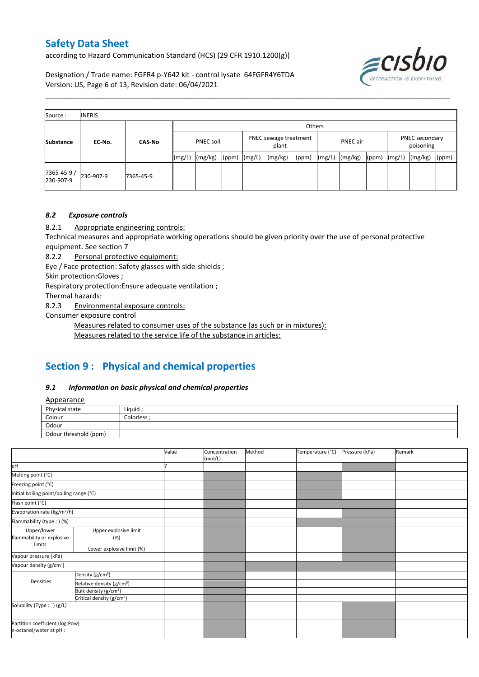according to Hazard Communication Standard (HCS) (29 CFR 1910.1200(g))

ECISDIC

Designation / Trade name: FGFR4 p-Y642 kit - control lysate 64FGFR4Y6TDA Version: US, Page 6 of 13, Revision date: 06/04/2021

| Source:                  | <b>INERIS</b> |               |           |         |       |                                |         |       |          |         |       |                             |         |       |
|--------------------------|---------------|---------------|-----------|---------|-------|--------------------------------|---------|-------|----------|---------|-------|-----------------------------|---------|-------|
|                          |               | <b>CAS-No</b> |           | Others  |       |                                |         |       |          |         |       |                             |         |       |
| <b>Substance</b>         | EC No.        |               | PNEC soil |         |       | PNEC sewage treatment<br>plant |         |       | PNEC air |         |       | PNEC secondary<br>poisoning |         |       |
|                          |               |               | (mg/L)    | (mg/kg) | (ppm) | (mg/L)                         | (mg/kg) | (ppm) | (mg/L)   | (mg/kg) | (ppm) | (mg/L)                      | (mg/kg) | (ppm) |
| 7365-45-9 /<br>230-907-9 | 230-907-9     | 7365-45-9     |           |         |       |                                |         |       |          |         |       |                             |         |       |

\_\_\_\_\_\_\_\_\_\_\_\_\_\_\_\_\_\_\_\_\_\_\_\_\_\_\_\_\_\_\_\_\_\_\_\_\_\_\_\_\_\_\_\_\_\_\_\_\_\_\_\_\_\_\_\_\_\_\_\_\_\_\_\_\_\_\_\_\_\_\_\_\_\_\_\_\_\_\_\_\_\_\_\_\_\_\_\_\_\_\_\_\_\_\_\_\_\_\_\_\_

### *8.2 Exposure controls*

8.2.1 Appropriate engineering controls:

Technical measures and appropriate working operations should be given priority over the use of personal protective equipment. See section 7

8.2.2 Personal protective equipment:

Eye / Face protection: Safety glasses with side-shields ;

Skin protection:Gloves ;

Respiratory protection:Ensure adequate ventilation ;

Thermal hazards:

8.2.3 Environmental exposure controls:

Consumer exposure control

Measures related to consumer uses of the substance (as such or in mixtures):

Measures related to the service life of the substance in articles:

## **Section 9 : Physical and chemical properties**

#### *9.1 Information on basic physical and chemical properties*

Appearance

| <i><u><b>Tippeurunce</b></u></i> |           |
|----------------------------------|-----------|
| Physical state                   | Liquid    |
| Colour                           | Colorless |
| Odour                            |           |
| Odour threshold (ppm)            |           |

|                                                    |                                       | Value | Concentration<br>(mol/L) | Method | Temperature (°C) | Pressure (kPa) | Remark |
|----------------------------------------------------|---------------------------------------|-------|--------------------------|--------|------------------|----------------|--------|
| pH                                                 |                                       |       |                          |        |                  |                |        |
| Melting point (°C)                                 |                                       |       |                          |        |                  |                |        |
| Freezing point (°C)                                |                                       |       |                          |        |                  |                |        |
| Initial boiling point/boiling range (°C)           |                                       |       |                          |        |                  |                |        |
| Flash point (°C)                                   |                                       |       |                          |        |                  |                |        |
| Evaporation rate (kg/m <sup>2</sup> /h)            |                                       |       |                          |        |                  |                |        |
| Flammability (type : ) (%)                         |                                       |       |                          |        |                  |                |        |
| Upper/lower<br>flammability or explosive<br>limits | Upper explosive limit<br>(%)          |       |                          |        |                  |                |        |
|                                                    | Lower explosive limit (%)             |       |                          |        |                  |                |        |
| Vapour pressure (kPa)                              |                                       |       |                          |        |                  |                |        |
| Vapour density (g/cm <sup>3</sup> )                |                                       |       |                          |        |                  |                |        |
|                                                    | Density (g/cm <sup>3</sup> )          |       |                          |        |                  |                |        |
| Densities                                          | Relative density (g/cm <sup>3</sup> ) |       |                          |        |                  |                |        |
|                                                    | Bulk density (g/cm <sup>3</sup> )     |       |                          |        |                  |                |        |
|                                                    | Critical density (g/cm <sup>3</sup> ) |       |                          |        |                  |                |        |
| Solubility (Type: ) (g/L)                          |                                       |       |                          |        |                  |                |        |
| n-octanol/water at pH :                            | Partition coefficient (log Pow)       |       |                          |        |                  |                |        |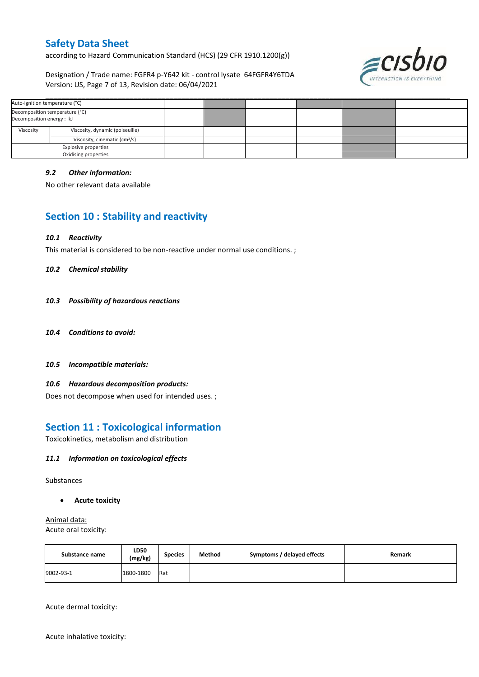according to Hazard Communication Standard (HCS) (29 CFR 1910.1200(g))

Designation / Trade name: FGFR4 p-Y642 kit - control lysate 64FGFR4Y6TDA Version: US, Page 7 of 13, Revision date: 06/04/2021



|                                                             | Auto-ignition temperature (°C)  |  |  |  |  |
|-------------------------------------------------------------|---------------------------------|--|--|--|--|
| Decomposition temperature (°C)<br>Decomposition energy : kJ |                                 |  |  |  |  |
| Viscosity                                                   | Viscosity, dynamic (poiseuille) |  |  |  |  |
| Viscosity, cinematic (cm <sup>3</sup> /s)                   |                                 |  |  |  |  |
|                                                             | <b>Explosive properties</b>     |  |  |  |  |
|                                                             | Oxidising properties            |  |  |  |  |

#### *9.2 Other information:*

No other relevant data available

## **Section 10 : Stability and reactivity**

#### *10.1 Reactivity*

This material is considered to be non-reactive under normal use conditions. ;

#### *10.2 Chemical stability*

- *10.3 Possibility of hazardous reactions*
- *10.4 Conditions to avoid:*
- *10.5 Incompatible materials:*

#### *10.6 Hazardous decomposition products:*

Does not decompose when used for intended uses. ;

### **Section 11 : Toxicological information**

Toxicokinetics, metabolism and distribution

#### *11.1 Information on toxicological effects*

#### Substances

**Acute toxicity**

Animal data: Acute oral toxicity:

| Substance name | LD50<br>(mg/kg) | <b>Species</b> | Method | Symptoms / delayed effects | Remark |
|----------------|-----------------|----------------|--------|----------------------------|--------|
| 9002-93-1      | 1800-1800       | <b>Rat</b>     |        |                            |        |

Acute dermal toxicity:

Acute inhalative toxicity: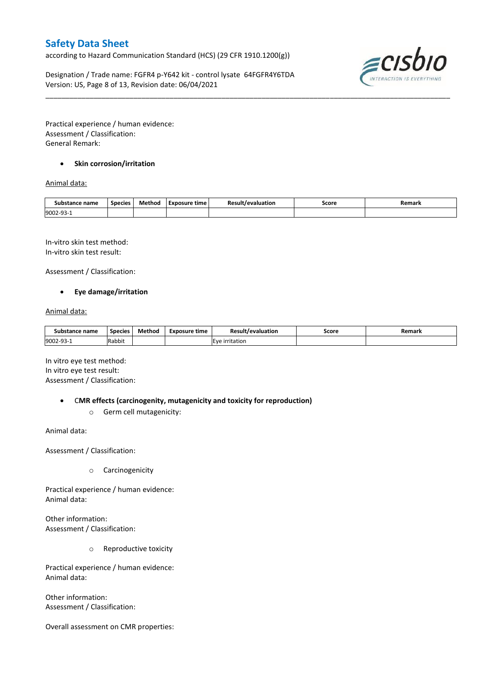according to Hazard Communication Standard (HCS) (29 CFR 1910.1200(g))

Designation / Trade name: FGFR4 p-Y642 kit - control lysate 64FGFR4Y6TDA Version: US, Page 8 of 13, Revision date: 06/04/2021



Practical experience / human evidence: Assessment / Classification: General Remark:

### **•** Skin corrosion/irritation

### Animal data:

| Substance name        | <b>Species</b> | Method | Exposure time | Result/evaluation | Score | Remark |
|-----------------------|----------------|--------|---------------|-------------------|-------|--------|
| 9002-93<br><b>سات</b> |                |        |               |                   |       |        |

\_\_\_\_\_\_\_\_\_\_\_\_\_\_\_\_\_\_\_\_\_\_\_\_\_\_\_\_\_\_\_\_\_\_\_\_\_\_\_\_\_\_\_\_\_\_\_\_\_\_\_\_\_\_\_\_\_\_\_\_\_\_\_\_\_\_\_\_\_\_\_\_\_\_\_\_\_\_\_\_\_\_\_\_\_\_\_\_\_\_\_\_\_\_\_\_\_\_\_\_\_

In-vitro skin test method: In-vitro skin test result:

Assessment / Classification:

#### **Eye damage/irritation**

#### Animal data:

| Substance name        | <b>Species</b> | Method | Exposure time | Result/evaluation                      | Score | Remark |
|-----------------------|----------------|--------|---------------|----------------------------------------|-------|--------|
| 9002-93<br><b>سات</b> | Rabbit         |        |               | irritation<br>$\overline{\phantom{a}}$ |       |        |

In vitro eye test method: In vitro eye test result: Assessment / Classification:

C**MR effects (carcinogenity, mutagenicity and toxicity for reproduction)**

o Germ cell mutagenicity:

Animal data:

Assessment / Classification:

o Carcinogenicity

Practical experience / human evidence: Animal data:

Other information: Assessment / Classification:

o Reproductive toxicity

Practical experience / human evidence: Animal data:

Other information: Assessment / Classification:

Overall assessment on CMR properties: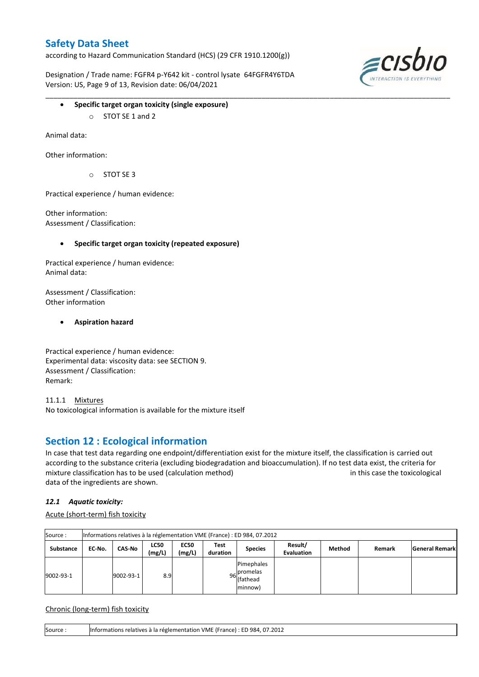according to Hazard Communication Standard (HCS) (29 CFR 1910.1200(g))

Designation / Trade name: FGFR4 p-Y642 kit - control lysate 64FGFR4Y6TDA Version: US, Page 9 of 13, Revision date: 06/04/2021



- **Specific target organ toxicity (single exposure)**
	- o STOT SE 1 and 2

Animal data:

Other information:

 $O$  STOT SE 3

Practical experience / human evidence:

Other information: Assessment / Classification:

**Specific target organ toxicity (repeated exposure)**

Practical experience / human evidence: Animal data:

Assessment / Classification: Other information

**Aspiration hazard**

Practical experience / human evidence: Experimental data: viscosity data: see SECTION 9. Assessment / Classification: Remark:

11.1.1 Mixtures No toxicological information is available for the mixture itself

### **Section 12 : Ecological information**

In case that test data regarding one endpoint/differentiation exist for the mixture itself, the classification is carried out according to the substance criteria (excluding biodegradation and bioaccumulation). If no test data exist, the criteria for mixture classification has to be used (calculation method) in this case the toxicological data of the ingredients are shown.

\_\_\_\_\_\_\_\_\_\_\_\_\_\_\_\_\_\_\_\_\_\_\_\_\_\_\_\_\_\_\_\_\_\_\_\_\_\_\_\_\_\_\_\_\_\_\_\_\_\_\_\_\_\_\_\_\_\_\_\_\_\_\_\_\_\_\_\_\_\_\_\_\_\_\_\_\_\_\_\_\_\_\_\_\_\_\_\_\_\_\_\_\_\_\_\_\_\_\_\_\_

### *12.1 Aquatic toxicity:*

Acute (short-term) fish toxicity

| Source:   | Informations relatives à la réglementation VME (France) : ED 984, 07.2012 |           |                       |                       |                  |                                                  |                              |        |        |                       |  |  |
|-----------|---------------------------------------------------------------------------|-----------|-----------------------|-----------------------|------------------|--------------------------------------------------|------------------------------|--------|--------|-----------------------|--|--|
| Substance | EC No.                                                                    | CAS-No    | <b>LC50</b><br>(mg/L) | <b>EC50</b><br>(mg/L) | Test<br>duration | <b>Species</b>                                   | Result/<br><b>Evaluation</b> | Method | Remark | <b>General Remark</b> |  |  |
| 9002-93-1 |                                                                           | 9002-93-1 | 8.9                   |                       |                  | Pimephales<br>96 promelas<br>(fathead<br>minnow) |                              |        |        |                       |  |  |

Chronic (long-term) fish toxicity

Source : Informations relatives à la réglementation VME (France) : ED 984, 07.2012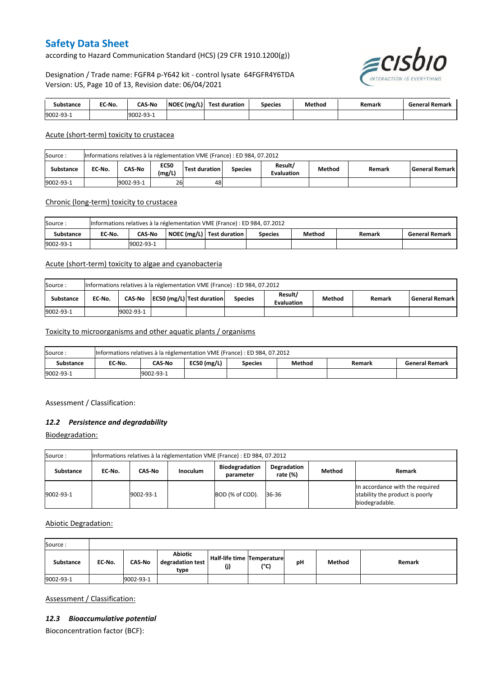according to Hazard Communication Standard (HCS) (29 CFR 1910.1200(g))

Designation / Trade name: FGFR4 p-Y642 kit - control lysate 64FGFR4Y6TDA Version: US, Page 10 of 13, Revision date: 06/04/2021



| าstance<br>sub | EC-No. | <b>CAS-No</b> | NOEC (mg/L) | Test duration | Species | Method | Remark | Remark<br>iener: |
|----------------|--------|---------------|-------------|---------------|---------|--------|--------|------------------|
| 9002-93-1      |        | 92- /         |             |               |         |        |        |                  |

#### Acute (short-term) toxicity to crustacea

| Informations relatives à la réglementation VME (France) : ED 984, 07.2012<br>Source: |                                                                                                                                                        |  |  |  |  |  |  |  |  |  |  |
|--------------------------------------------------------------------------------------|--------------------------------------------------------------------------------------------------------------------------------------------------------|--|--|--|--|--|--|--|--|--|--|
| <b>Substance</b>                                                                     | Result/<br><b>EC50</b><br>CAS-No<br>Method<br>Test duration<br>EC No.<br>l General Remark l<br><b>Species</b><br>Remark<br>(mg/L)<br><b>Evaluation</b> |  |  |  |  |  |  |  |  |  |  |
| 9002-93-1                                                                            | 26<br>9002-93-1<br>48                                                                                                                                  |  |  |  |  |  |  |  |  |  |  |

#### Chronic (long-term) toxicity to crustacea

| Source:   | Informations relatives à la réglementation VME (France) : ED 984, 07.2012 |                                                                                                             |  |  |  |  |  |  |  |  |  |
|-----------|---------------------------------------------------------------------------|-------------------------------------------------------------------------------------------------------------|--|--|--|--|--|--|--|--|--|
| Substance | EC No.                                                                    | NOEC (mg/L)   Test duration<br>Method<br><b>CAS-No</b><br><b>General Remark</b><br><b>Species</b><br>Remark |  |  |  |  |  |  |  |  |  |
| 9002-93-1 | 9002-93-1                                                                 |                                                                                                             |  |  |  |  |  |  |  |  |  |

#### Acute (short-term) toxicity to algae and cyanobacteria

| Informations relatives à la réglementation VME (France) : ED 984, 07.2012<br>Source: |        |                                                                                                                                 |  |  |  |  |  |  |  |  |  |
|--------------------------------------------------------------------------------------|--------|---------------------------------------------------------------------------------------------------------------------------------|--|--|--|--|--|--|--|--|--|
| <b>Substance</b>                                                                     | EC No. | Result/<br>EC50 (mg/L) Test duration<br>Method<br>CAS-No<br>l General Remark l<br>Remark<br><b>Species</b><br><b>Evaluation</b> |  |  |  |  |  |  |  |  |  |
| 9002-93-1                                                                            |        | 9002-93-1                                                                                                                       |  |  |  |  |  |  |  |  |  |

#### Toxicity to microorganisms and other aquatic plants / organisms

| Source    | Informations relatives à la réglementation VME (France) : ED 984, 07.2012 |                                                                                        |  |  |  |  |  |  |  |  |  |
|-----------|---------------------------------------------------------------------------|----------------------------------------------------------------------------------------|--|--|--|--|--|--|--|--|--|
| Substance | EC-No.                                                                    | $EC50$ (mg/L)<br>CAS-No<br>Method<br><b>General Remark</b><br><b>Species</b><br>Remark |  |  |  |  |  |  |  |  |  |
| 9002-93-1 |                                                                           | 19002-93-1                                                                             |  |  |  |  |  |  |  |  |  |

Assessment / Classification:

#### *12.2 Persistence and degradability*

Biodegradation:

| Source:   | Informations relatives à la réglementation VME (France) : ED 984, 07.2012                                                |           |  |                 |       |  |                                                                                      |  |  |  |  |
|-----------|--------------------------------------------------------------------------------------------------------------------------|-----------|--|-----------------|-------|--|--------------------------------------------------------------------------------------|--|--|--|--|
| Substance | <b>Biodegradation</b><br>Degradation<br>Method<br><b>Inoculum</b><br>Remark<br>CAS-No<br>EC No.<br>rate (%)<br>parameter |           |  |                 |       |  |                                                                                      |  |  |  |  |
| 9002-93-1 |                                                                                                                          | 9002-93-1 |  | BOD (% of COD). | 36-36 |  | In accordance with the required<br>stability the product is poorly<br>biodegradable. |  |  |  |  |

### Abiotic Degradation:

| Source:   |        |               |                                            |                                          |      |    |        |        |
|-----------|--------|---------------|--------------------------------------------|------------------------------------------|------|----|--------|--------|
| Substance | EC-No. | <b>CAS-No</b> | <b>Abiotic</b><br>degradation test<br>type | <b>Half-life time Temperature</b><br>(j) | (°C) | рH | Method | Remark |
| 9002-93-1 |        | 9002-93-1     |                                            |                                          |      |    |        |        |

Assessment / Classification:

#### *12.3 Bioaccumulative potential*

Bioconcentration factor (BCF):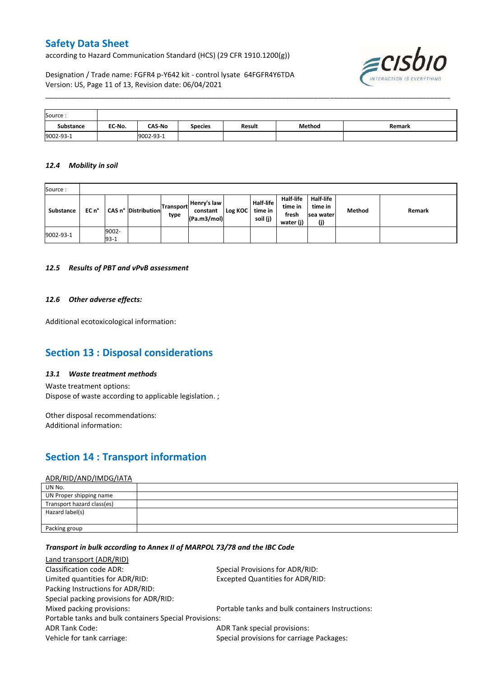according to Hazard Communication Standard (HCS) (29 CFR 1910.1200(g))



Designation / Trade name: FGFR4 p-Y642 kit - control lysate 64FGFR4Y6TDA Version: US, Page 11 of 13, Revision date: 06/04/2021

| Source:   |        |               |                |        |        |        |
|-----------|--------|---------------|----------------|--------|--------|--------|
| Substance | EC-No. | <b>CAS-No</b> | <b>Species</b> | Result | Method | Remark |
| 9002-93-1 |        | 9002-93-1     |                |        |        |        |

\_\_\_\_\_\_\_\_\_\_\_\_\_\_\_\_\_\_\_\_\_\_\_\_\_\_\_\_\_\_\_\_\_\_\_\_\_\_\_\_\_\_\_\_\_\_\_\_\_\_\_\_\_\_\_\_\_\_\_\_\_\_\_\_\_\_\_\_\_\_\_\_\_\_\_\_\_\_\_\_\_\_\_\_\_\_\_\_\_\_\_\_\_\_\_\_\_\_\_\_\_

#### *12.4 Mobility in soil*

| Source:   |       |                   |                            |                          |                                        |         |                                         |                                                   |                                          |        |        |
|-----------|-------|-------------------|----------------------------|--------------------------|----------------------------------------|---------|-----------------------------------------|---------------------------------------------------|------------------------------------------|--------|--------|
| Substance | EC n° |                   | <b>CAS n° Distribution</b> | <b>Transport</b><br>type | Henry's law<br>constant<br>(Pa.m3/mol) | Log KOC | <b>Half-life</b><br>time in<br>soil (j) | <b>Half-life</b><br>time in<br>fresh<br>water (j) | Half-life<br>time in<br>sea water<br>(j) | Method | Remark |
| 9002-93-1 |       | 9002-<br>$93 - 1$ |                            |                          |                                        |         |                                         |                                                   |                                          |        |        |

#### *12.5 Results of PBT and vPvB assessment*

#### *12.6 Other adverse effects:*

Additional ecotoxicological information:

### **Section 13 : Disposal considerations**

#### *13.1 Waste treatment methods*

Waste treatment options: Dispose of waste according to applicable legislation. ;

Other disposal recommendations: Additional information:

## **Section 14 : Transport information**

#### ADR/RID/AND/IMDG/IATA

| UN No.                     |  |
|----------------------------|--|
| UN Proper shipping name    |  |
| Transport hazard class(es) |  |
| Hazard label(s)            |  |
|                            |  |
| Packing group              |  |

### *Transport in bulk according to Annex II of MARPOL 73/78 and the IBC Code*

| Land transport (ADR/RID)                               |                                                  |
|--------------------------------------------------------|--------------------------------------------------|
| Classification code ADR:                               | Special Provisions for ADR/RID:                  |
| Limited quantities for ADR/RID:                        | Excepted Quantities for ADR/RID:                 |
| Packing Instructions for ADR/RID:                      |                                                  |
| Special packing provisions for ADR/RID:                |                                                  |
| Mixed packing provisions:                              | Portable tanks and bulk containers Instructions: |
| Portable tanks and bulk containers Special Provisions: |                                                  |
| <b>ADR Tank Code:</b>                                  | ADR Tank special provisions:                     |
| Vehicle for tank carriage:                             | Special provisions for carriage Packages:        |
|                                                        |                                                  |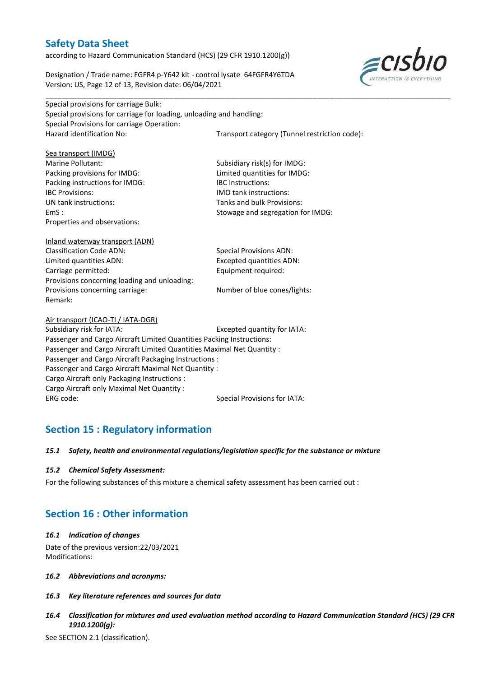Special provisions for carriage Bulk:

according to Hazard Communication Standard (HCS) (29 CFR 1910.1200(g))

Designation / Trade name: FGFR4 p-Y642 kit - control lysate 64FGFR4Y6TDA Version: US, Page 12 of 13, Revision date: 06/04/2021



| Special provisions for carriage for loading, unloading and handling:   |                                               |  |  |  |  |
|------------------------------------------------------------------------|-----------------------------------------------|--|--|--|--|
| Special Provisions for carriage Operation:                             |                                               |  |  |  |  |
| Hazard identification No:                                              | Transport category (Tunnel restriction code): |  |  |  |  |
|                                                                        |                                               |  |  |  |  |
| Sea transport (IMDG)                                                   |                                               |  |  |  |  |
| Marine Pollutant:                                                      | Subsidiary risk(s) for IMDG:                  |  |  |  |  |
| Packing provisions for IMDG:                                           | Limited quantities for IMDG:                  |  |  |  |  |
| Packing instructions for IMDG:                                         | <b>IBC</b> Instructions:                      |  |  |  |  |
| <b>IBC Provisions:</b>                                                 | <b>IMO</b> tank instructions:                 |  |  |  |  |
| UN tank instructions:                                                  | Tanks and bulk Provisions:                    |  |  |  |  |
| EmS:                                                                   | Stowage and segregation for IMDG:             |  |  |  |  |
| Properties and observations:                                           |                                               |  |  |  |  |
|                                                                        |                                               |  |  |  |  |
| Inland waterway transport (ADN)                                        |                                               |  |  |  |  |
| <b>Classification Code ADN:</b>                                        | <b>Special Provisions ADN:</b>                |  |  |  |  |
| Limited quantities ADN:                                                | <b>Excepted quantities ADN:</b>               |  |  |  |  |
| Carriage permitted:                                                    | Equipment required:                           |  |  |  |  |
| Provisions concerning loading and unloading:                           |                                               |  |  |  |  |
| Provisions concerning carriage:                                        | Number of blue cones/lights:                  |  |  |  |  |
| Remark:                                                                |                                               |  |  |  |  |
|                                                                        |                                               |  |  |  |  |
| Air transport (ICAO-TI / IATA-DGR)                                     |                                               |  |  |  |  |
| Subsidiary risk for IATA:                                              | Excepted quantity for IATA:                   |  |  |  |  |
| Passenger and Cargo Aircraft Limited Quantities Packing Instructions:  |                                               |  |  |  |  |
| Passenger and Cargo Aircraft Limited Quantities Maximal Net Quantity : |                                               |  |  |  |  |
| Passenger and Cargo Aircraft Packaging Instructions :                  |                                               |  |  |  |  |
| Passenger and Cargo Aircraft Maximal Net Quantity :                    |                                               |  |  |  |  |
| Cargo Aircraft only Packaging Instructions :                           |                                               |  |  |  |  |
| Cargo Aircraft only Maximal Net Quantity :                             |                                               |  |  |  |  |
| ERG code:                                                              | <b>Special Provisions for IATA:</b>           |  |  |  |  |
|                                                                        |                                               |  |  |  |  |

\_\_\_\_\_\_\_\_\_\_\_\_\_\_\_\_\_\_\_\_\_\_\_\_\_\_\_\_\_\_\_\_\_\_\_\_\_\_\_\_\_\_\_\_\_\_\_\_\_\_\_\_\_\_\_\_\_\_\_\_\_\_\_\_\_\_\_\_\_\_\_\_\_\_\_\_\_\_\_\_\_\_\_\_\_\_\_\_\_\_\_\_\_\_\_\_\_\_\_\_\_

## **Section 15 : Regulatory information**

#### *15.1 Safety, health and environmental regulations/legislation specific for the substance or mixture*

#### *15.2 Chemical Safety Assessment:*

For the following substances of this mixture a chemical safety assessment has been carried out :

## **Section 16 : Other information**

#### *16.1 Indication of changes*

Date of the previous version:22/03/2021 Modifications:

- *16.2 Abbreviations and acronyms:*
- *16.3 Key literature references and sources for data*
- *16.4 Classification for mixtures and used evaluation method according to Hazard Communication Standard (HCS) (29 CFR 1910.1200(g):*

See SECTION 2.1 (classification).